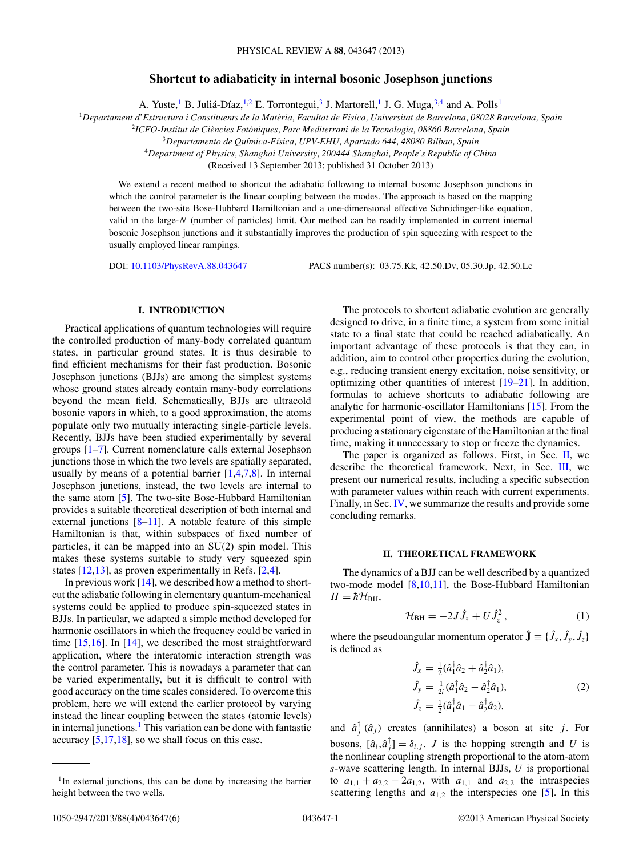# **Shortcut to adiabaticity in internal bosonic Josephson junctions**

A. Yuste,<sup>1</sup> B. Juliá-Díaz,<sup>1,2</sup> E. Torrontegui,<sup>3</sup> J. Martorell,<sup>1</sup> J. G. Muga,<sup>3,4</sup> and A. Polls<sup>1</sup>

<sup>1</sup>*Departament d'Estructura i Constituents de la Materia, Facultat de F ` ´ısica, Universitat de Barcelona, 08028 Barcelona, Spain*

<sup>2</sup>*ICFO-Institut de Ciencies Fot ` oniques, Parc Mediterrani de la Tecnologia, 08860 Barcelona, Spain `*

<sup>3</sup>*Departamento de Qu´ımica-F´ısica, UPV-EHU, Apartado 644, 48080 Bilbao, Spain*

<sup>4</sup>*Department of Physics, Shanghai University, 200444 Shanghai, People's Republic of China*

(Received 13 September 2013; published 31 October 2013)

We extend a recent method to shortcut the adiabatic following to internal bosonic Josephson junctions in which the control parameter is the linear coupling between the modes. The approach is based on the mapping between the two-site Bose-Hubbard Hamiltonian and a one-dimensional effective Schrödinger-like equation, valid in the large-*N* (number of particles) limit. Our method can be readily implemented in current internal bosonic Josephson junctions and it substantially improves the production of spin squeezing with respect to the usually employed linear rampings.

DOI: [10.1103/PhysRevA.88.043647](http://dx.doi.org/10.1103/PhysRevA.88.043647) PACS number(s): 03*.*75*.*Kk, 42*.*50*.*Dv, 05*.*30*.*Jp, 42*.*50*.*Lc

#### **I. INTRODUCTION**

Practical applications of quantum technologies will require the controlled production of many-body correlated quantum states, in particular ground states. It is thus desirable to find efficient mechanisms for their fast production. Bosonic Josephson junctions (BJJs) are among the simplest systems whose ground states already contain many-body correlations beyond the mean field. Schematically, BJJs are ultracold bosonic vapors in which, to a good approximation, the atoms populate only two mutually interacting single-particle levels. Recently, BJJs have been studied experimentally by several groups [\[1–7\]](#page-5-0). Current nomenclature calls external Josephson junctions those in which the two levels are spatially separated, usually by means of a potential barrier  $[1,4,7,8]$ . In internal Josephson junctions, instead, the two levels are internal to the same atom [\[5\]](#page-5-0). The two-site Bose-Hubbard Hamiltonian provides a suitable theoretical description of both internal and external junctions  $[8-11]$ . A notable feature of this simple Hamiltonian is that, within subspaces of fixed number of particles, it can be mapped into an SU(2) spin model. This makes these systems suitable to study very squeezed spin states [\[12,13\]](#page-5-0), as proven experimentally in Refs. [\[2,4\]](#page-5-0).

In previous work  $[14]$ , we described how a method to shortcut the adiabatic following in elementary quantum-mechanical systems could be applied to produce spin-squeezed states in BJJs. In particular, we adapted a simple method developed for harmonic oscillators in which the frequency could be varied in time [\[15,16\]](#page-5-0). In [\[14\]](#page-5-0), we described the most straightforward application, where the interatomic interaction strength was the control parameter. This is nowadays a parameter that can be varied experimentally, but it is difficult to control with good accuracy on the time scales considered. To overcome this problem, here we will extend the earlier protocol by varying instead the linear coupling between the states (atomic levels) in internal junctions.<sup>1</sup> This variation can be done with fantastic accuracy  $[5,17,18]$ , so we shall focus on this case.

The protocols to shortcut adiabatic evolution are generally designed to drive, in a finite time, a system from some initial state to a final state that could be reached adiabatically. An important advantage of these protocols is that they can, in addition, aim to control other properties during the evolution, e.g., reducing transient energy excitation, noise sensitivity, or optimizing other quantities of interest [\[19–21\]](#page-5-0). In addition, formulas to achieve shortcuts to adiabatic following are analytic for harmonic-oscillator Hamiltonians [\[15\]](#page-5-0). From the experimental point of view, the methods are capable of producing a stationary eigenstate of the Hamiltonian at the final time, making it unnecessary to stop or freeze the dynamics.

The paper is organized as follows. First, in Sec.  $II$ , we describe the theoretical framework. Next, in Sec. [III,](#page-1-0) we present our numerical results, including a specific subsection with parameter values within reach with current experiments. Finally, in Sec. [IV,](#page-3-0) we summarize the results and provide some concluding remarks.

#### **II. THEORETICAL FRAMEWORK**

The dynamics of a BJJ can be well described by a quantized two-mode model  $[8,10,11]$ , the Bose-Hubbard Hamiltonian  $H = \hbar \mathcal{H}_{\text{BH}}$ ,

$$
\mathcal{H}_{\rm BH} = -2J\,\hat{J}_x + U\,\hat{J}_z^2\,,\tag{1}
$$

where the pseudoangular momentum operator  $\hat{\mathbf{J}} \equiv \{\hat{J}_x, \hat{J}_y, \hat{J}_z\}$ is defined as

$$
\hat{J}_x = \frac{1}{2} (\hat{a}_1^\dagger \hat{a}_2 + \hat{a}_2^\dagger \hat{a}_1), \n\hat{J}_y = \frac{1}{2i} (\hat{a}_1^\dagger \hat{a}_2 - \hat{a}_2^\dagger \hat{a}_1), \n\hat{J}_z = \frac{1}{2} (\hat{a}_1^\dagger \hat{a}_1 - \hat{a}_2^\dagger \hat{a}_2),
$$
\n(2)

and  $\hat{a}^{\dagger}_j$  ( $\hat{a}_j$ ) creates (annihilates) a boson at site *j*. For bosons,  $[\hat{a}_i, \hat{a}_j^{\dagger}] = \delta_{i,j}$ . *J* is the hopping strength and *U* is the nonlinear coupling strength proportional to the atom-atom *s*-wave scattering length. In internal BJJs, *U* is proportional to  $a_{1,1} + a_{2,2} - 2a_{1,2}$ , with  $a_{1,1}$  and  $a_{2,2}$  the intraspecies scattering lengths and  $a_{1,2}$  the interspecies one [\[5\]](#page-5-0). In this

<sup>&</sup>lt;sup>1</sup>In external junctions, this can be done by increasing the barrier height between the two wells.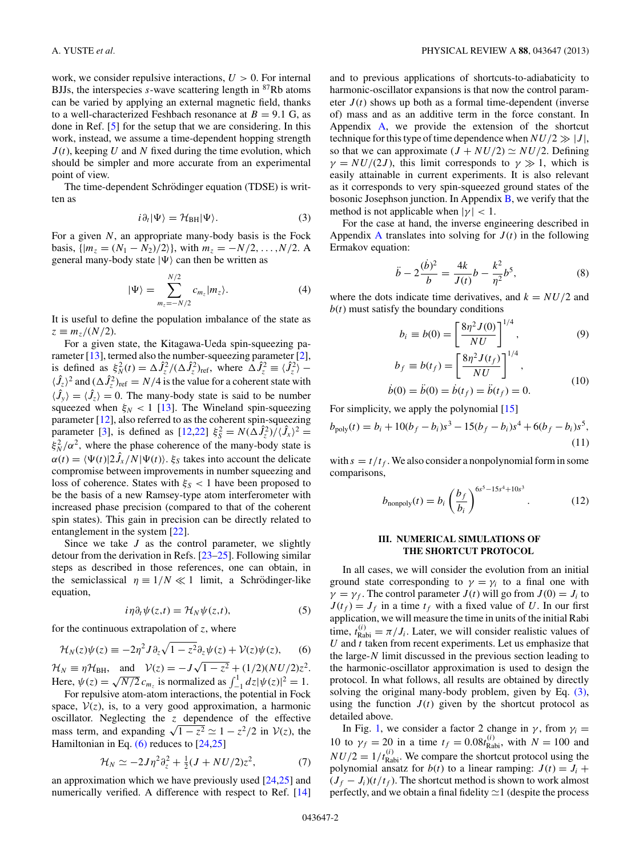<span id="page-1-0"></span>work, we consider repulsive interactions, *U >* 0. For internal BJJs, the interspecies  $s$ -wave scattering length in  $87Rb$  atoms can be varied by applying an external magnetic field, thanks to a well-characterized Feshbach resonance at  $B = 9.1$  G, as done in Ref. [\[5\]](#page-5-0) for the setup that we are considering. In this work, instead, we assume a time-dependent hopping strength  $J(t)$ , keeping U and N fixed during the time evolution, which should be simpler and more accurate from an experimental point of view.

The time-dependent Schrödinger equation (TDSE) is written as

$$
i\partial_t|\Psi\rangle = \mathcal{H}_{\rm BH}|\Psi\rangle. \tag{3}
$$

For a given *N*, an appropriate many-body basis is the Fock basis,  $\{ |m_z = (N_1 - N_2)/2 \}$ , with  $m_z = -N/2, \ldots, N/2$ . A general many-body state  $|\Psi\rangle$  can then be written as

$$
|\Psi\rangle = \sum_{m_z=-N/2}^{N/2} c_{m_z} |m_z\rangle.
$$
 (4)

It is useful to define the population imbalance of the state as  $z \equiv m_z/(N/2)$ .

For a given state, the Kitagawa-Ueda spin-squeezing pa-rameter [\[13\]](#page-5-0), termed also the number-squeezing parameter [\[2\]](#page-5-0), is defined as  $\xi_N^2(t) = \Delta \hat{J}_z^2/(\Delta \hat{J}_z^2)_{\text{ref}}$ , where  $\Delta \hat{J}_z^2 \equiv \langle \hat{J}_z^2 \rangle \langle \hat{J}_z \rangle^2$  and  $(\Delta \hat{J}_z^2)_{\text{ref}} = N/4$  is the value for a coherent state with  $\langle \hat{J}_y \rangle = \langle \hat{J}_z \rangle = 0$ . The many-body state is said to be number squeezed when  $\xi_N < 1$  [\[13\]](#page-5-0). The Wineland spin-squeezing parameter [\[12\]](#page-5-0), also referred to as the coherent spin-squeezing parameter [\[3\]](#page-5-0), is defined as  $\left[\frac{12,22}{5^2} \right] \xi_s^2 = N(\Delta \hat{J}_z^2)/(\hat{J}_x)^2 =$  $\xi_N^2/\alpha^2$ , where the phase coherence of the many-body state is  $\alpha(t) = \langle \Psi(t) | 2 \hat{J}_x / N | \Psi(t) \rangle$ .  $\xi_S$  takes into account the delicate compromise between improvements in number squeezing and loss of coherence. States with  $\xi_s$  < 1 have been proposed to be the basis of a new Ramsey-type atom interferometer with increased phase precision (compared to that of the coherent spin states). This gain in precision can be directly related to entanglement in the system [\[22\]](#page-5-0).

Since we take *J* as the control parameter, we slightly detour from the derivation in Refs. [\[23–25\]](#page-5-0). Following similar steps as described in those references, one can obtain, in the semiclassical  $\eta \equiv 1/N \ll 1$  limit, a Schrödinger-like equation,

$$
i\eta \partial_t \psi(z,t) = \mathcal{H}_N \psi(z,t), \tag{5}
$$

for the continuous extrapolation of *z*, where

$$
\mathcal{H}_N(z)\psi(z) \equiv -2\eta^2 J \partial_z \sqrt{1-z^2} \partial_z \psi(z) + \mathcal{V}(z)\psi(z), \qquad (6)
$$

 $\mathcal{H}_N \equiv \eta \mathcal{H}_{\text{BH}}$ , and  $\mathcal{V}(z) = -J\sqrt{1-z^2} + (1/2)(NU/2)z^2$ . Here,  $\psi(z) = \sqrt{N/2} c_{m_z}$  is normalized as  $\int_{-1}^{1} dz |\psi(z)|^2 = 1$ .

For repulsive atom-atom interactions, the potential in Fock space,  $V(z)$ , is, to a very good approximation, a harmonic oscillator. Neglecting the *z* dependence of the effective mass term, and expanding  $\sqrt{1-z^2} \simeq 1 - z^2/2$  in  $V(z)$ , the Hamiltonian in Eq.  $(6)$  reduces to  $[24,25]$ 

$$
\mathcal{H}_N \simeq -2J\eta^2\partial_z^2 + \frac{1}{2}(J + NU/2)z^2,\tag{7}
$$

an approximation which we have previously used [\[24,25\]](#page-5-0) and numerically verified. A difference with respect to Ref. [\[14\]](#page-5-0) and to previous applications of shortcuts-to-adiabaticity to harmonic-oscillator expansions is that now the control parameter  $J(t)$  shows up both as a formal time-dependent (inverse of) mass and as an additive term in the force constant. In Appendix [A,](#page-4-0) we provide the extension of the shortcut technique for this type of time dependence when  $NU/2 \gg |J|$ , so that we can approximate  $(J + NU/2) \simeq NU/2$ . Defining  $\gamma = N U/(2J)$ , this limit corresponds to  $\gamma \gg 1$ , which is easily attainable in current experiments. It is also relevant as it corresponds to very spin-squeezed ground states of the bosonic Josephson junction. In Appendix [B,](#page-4-0) we verify that the method is not applicable when  $|\gamma|$  < 1.

For the case at hand, the inverse engineering described in [A](#page-4-0)ppendix A translates into solving for  $J(t)$  in the following Ermakov equation:

$$
\ddot{b} - 2\frac{(\dot{b})^2}{b} = \frac{4k}{J(t)}b - \frac{k^2}{\eta^2}b^5,\tag{8}
$$

where the dots indicate time derivatives, and  $k = NU/2$  and  $b(t)$  must satisfy the boundary conditions

$$
b_i \equiv b(0) = \left[\frac{8\eta^2 J(0)}{NU}\right]^{1/4},\tag{9}
$$

$$
b_f \equiv b(t_f) = \left[\frac{8\eta^2 J(t_f)}{NU}\right]^{1/4},\tag{10}
$$

$$
\dot{b}(0) = \ddot{b}(0) = \dot{b}(t_f) = \ddot{b}(t_f) = 0.
$$
\n(10)

For simplicity, we apply the polynomial [\[15\]](#page-5-0)

$$
b_{\text{poly}}(t) = b_i + 10(b_f - b_i)s^3 - 15(b_f - b_i)s^4 + 6(b_f - b_i)s^5,
$$
\n(11)

with  $s = t/t_f$ . We also consider a nonpolynomial form in some comparisons,

$$
b_{\text{nonpoly}}(t) = b_i \left(\frac{b_f}{b_i}\right)^{6s^5 - 15s^4 + 10s^3}.
$$
 (12)

## **III. NUMERICAL SIMULATIONS OF THE SHORTCUT PROTOCOL**

In all cases, we will consider the evolution from an initial ground state corresponding to  $\gamma = \gamma_i$  to a final one with  $\gamma = \gamma_f$ . The control parameter *J*(*t*) will go from *J*(0) = *J<sub>i</sub>* to  $J(t_f) = J_f$  in a time  $t_f$  with a fixed value of *U*. In our first application, we will measure the time in units of the initial Rabi time,  $t_{\text{Rabi}}^{(i)} = \pi / J_i$ . Later, we will consider realistic values of *U* and *t* taken from recent experiments. Let us emphasize that the large-*N* limit discussed in the previous section leading to the harmonic-oscillator approximation is used to design the protocol. In what follows, all results are obtained by directly solving the original many-body problem, given by Eq. (3), using the function  $J(t)$  given by the shortcut protocol as detailed above.

In Fig. [1,](#page-2-0) we consider a factor 2 change in  $\gamma$ , from  $\gamma$ <sub>i</sub> = 10 to  $\gamma_f = 20$  in a time  $t_f = 0.08 t_{\text{Rabi}}^{(i)}$ , with  $N = 100$  and  $NU/2 = 1/t_{\text{Rabi}}^{(i)}$ . We compare the shortcut protocol using the polynomial ansatz for  $b(t)$  to a linear ramping:  $J(t) = J_i +$  $(J_f - J_i)(t/t_f)$ . The shortcut method is shown to work almost perfectly, and we obtain a final fidelity  $\simeq$  1 (despite the process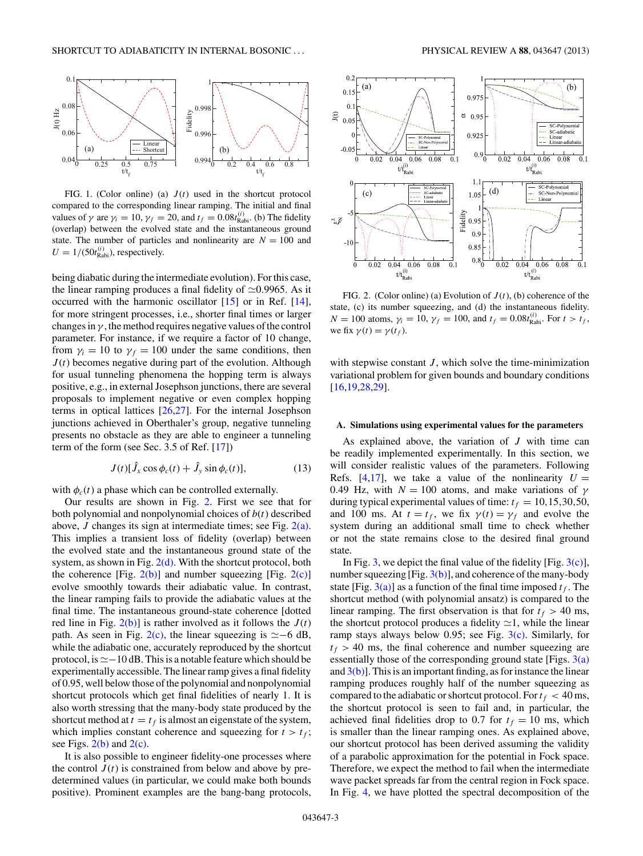<span id="page-2-0"></span>

FIG. 1. (Color online) (a)  $J(t)$  used in the shortcut protocol compared to the corresponding linear ramping. The initial and final values of  $\gamma$  are  $\gamma_i = 10$ ,  $\gamma_f = 20$ , and  $t_f = 0.08t_{\text{Rabi}}^{(i)}$ . (b) The fidelity (overlap) between the evolved state and the instantaneous ground state. The number of particles and nonlinearity are  $N = 100$  and  $U = 1/(50t_{\text{Rabi}}^{(i)})$ , respectively.

being diabatic during the intermediate evolution). For this case, the linear ramping produces a final fidelity of  $\approx 0.9965$ . As it occurred with the harmonic oscillator [\[15\]](#page-5-0) or in Ref. [\[14\]](#page-5-0), for more stringent processes, i.e., shorter final times or larger changes in  $\gamma$ , the method requires negative values of the control parameter. For instance, if we require a factor of 10 change, from  $\gamma_i = 10$  to  $\gamma_f = 100$  under the same conditions, then  $J(t)$  becomes negative during part of the evolution. Although for usual tunneling phenomena the hopping term is always positive, e.g., in external Josephson junctions, there are several proposals to implement negative or even complex hopping terms in optical lattices [\[26,27\]](#page-5-0). For the internal Josephson junctions achieved in Oberthaler's group, negative tunneling presents no obstacle as they are able to engineer a tunneling term of the form (see Sec. 3.5 of Ref. [\[17\]](#page-5-0))

$$
J(t)[\hat{J}_x \cos \phi_c(t) + \hat{J}_y \sin \phi_c(t)], \qquad (13)
$$

with  $\phi_c(t)$  a phase which can be controlled externally.

Our results are shown in Fig. 2. First we see that for both polynomial and nonpolynomial choices of *b*(*t*) described above, *J* changes its sign at intermediate times; see Fig. 2(a). This implies a transient loss of fidelity (overlap) between the evolved state and the instantaneous ground state of the system, as shown in Fig.  $2(d)$ . With the shortcut protocol, both the coherence [Fig.  $2(b)$ ] and number squeezing [Fig.  $2(c)$ ] evolve smoothly towards their adiabatic value. In contrast, the linear ramping fails to provide the adiabatic values at the final time. The instantaneous ground-state coherence [dotted red line in Fig.  $2(b)$ ] is rather involved as it follows the  $J(t)$ path. As seen in Fig. 2(c), the linear squeezing is  $\simeq$  -6 dB, while the adiabatic one, accurately reproduced by the shortcut protocol, is  $\simeq$  -10 dB. This is a notable feature which should be experimentally accessible. The linear ramp gives a final fidelity of 0.95, well below those of the polynomial and nonpolynomial shortcut protocols which get final fidelities of nearly 1. It is also worth stressing that the many-body state produced by the shortcut method at  $t = t_f$  is almost an eigenstate of the system, which implies constant coherence and squeezing for  $t > t_f$ ; see Figs.  $2(b)$  and  $2(c)$ .

It is also possible to engineer fidelity-one processes where the control  $J(t)$  is constrained from below and above by predetermined values (in particular, we could make both bounds positive). Prominent examples are the bang-bang protocols,



FIG. 2. (Color online) (a) Evolution of *J* (*t*), (b) coherence of the state, (c) its number squeezing, and (d) the instantaneous fidelity. *N* = 100 atoms,  $\gamma_i = 10$ ,  $\gamma_f = 100$ , and  $t_f = 0.08t_{\text{Rabi}}^{(i)}$ . For  $t > t_f$ , we fix  $\gamma(t) = \gamma(t_f)$ .

with stepwise constant *J*, which solve the time-minimization variational problem for given bounds and boundary conditions [\[16,19,28,29\]](#page-5-0).

#### **A. Simulations using experimental values for the parameters**

As explained above, the variation of *J* with time can be readily implemented experimentally. In this section, we will consider realistic values of the parameters. Following Refs. [\[4,17\]](#page-5-0), we take a value of the nonlinearity  $U =$ 0.49 Hz, with  $N = 100$  atoms, and make variations of  $\gamma$ during typical experimental values of time:  $t_f = 10, 15, 30, 50$ , and 100 ms. At  $t = t_f$ , we fix  $\gamma(t) = \gamma_f$  and evolve the system during an additional small time to check whether or not the state remains close to the desired final ground state.

In Fig. [3,](#page-3-0) we depict the final value of the fidelity [Fig.  $3(c)$ ], number squeezing [Fig.  $3(b)$ ], and coherence of the many-body state [Fig.  $3(a)$ ] as a function of the final time imposed  $t_f$ . The shortcut method (with polynomial ansatz) is compared to the linear ramping. The first observation is that for  $t_f > 40$  ms, the shortcut protocol produces a fidelity  $\approx$ 1, while the linear ramp stays always below 0*.*95; see Fig. [3\(c\).](#page-3-0) Similarly, for  $t_f$  > 40 ms, the final coherence and number squeezing are essentially those of the corresponding ground state [Figs.  $3(a)$ ] and  $3(b)$ ]. This is an important finding, as for instance the linear ramping produces roughly half of the number squeezing as compared to the adiabatic or shortcut protocol. For  $t_f < 40$  ms, the shortcut protocol is seen to fail and, in particular, the achieved final fidelities drop to 0.7 for  $t_f = 10$  ms, which is smaller than the linear ramping ones. As explained above, our shortcut protocol has been derived assuming the validity of a parabolic approximation for the potential in Fock space. Therefore, we expect the method to fail when the intermediate wave packet spreads far from the central region in Fock space. In Fig. [4,](#page-3-0) we have plotted the spectral decomposition of the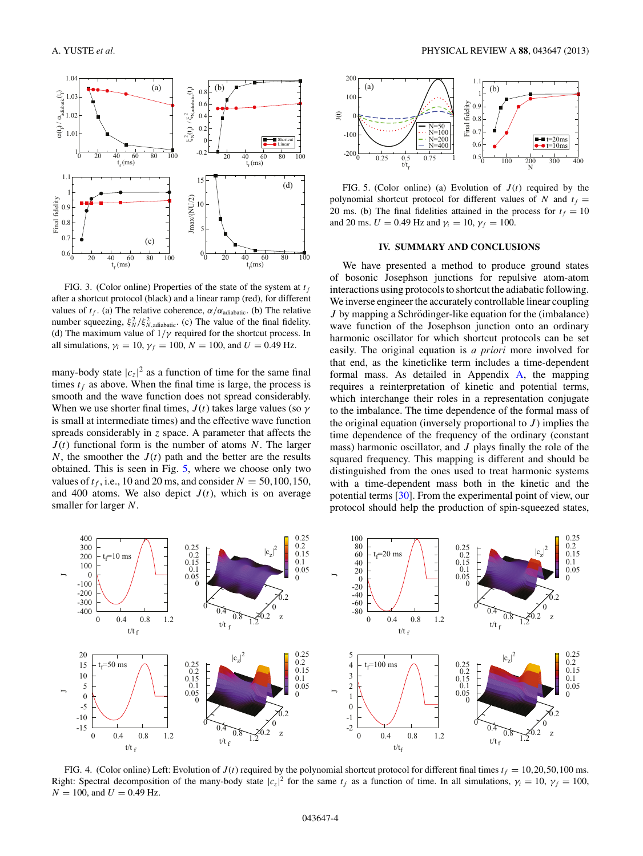<span id="page-3-0"></span>

FIG. 3. (Color online) Properties of the state of the system at  $t_f$ after a shortcut protocol (black) and a linear ramp (red), for different values of  $t_f$ . (a) The relative coherence,  $\alpha/\alpha_{\text{adiabatic}}$ . (b) The relative number squeezing,  $\xi_N^2/\xi_{N,\text{adiabatic}}^2$ . (c) The value of the final fidelity. (d) The maximum value of  $1/\gamma$  required for the shortcut process. In all simulations,  $\gamma_i = 10$ ,  $\gamma_f = 100$ ,  $N = 100$ , and  $U = 0.49$  Hz.

many-body state  $|c_z|^2$  as a function of time for the same final times  $t_f$  as above. When the final time is large, the process is smooth and the wave function does not spread considerably. When we use shorter final times,  $J(t)$  takes large values (so  $\gamma$ is small at intermediate times) and the effective wave function spreads considerably in *z* space. A parameter that affects the *J* (*t*) functional form is the number of atoms *N*. The larger *N*, the smoother the  $J(t)$  path and the better are the results obtained. This is seen in Fig. 5, where we choose only two values of  $t_f$ , i.e., 10 and 20 ms, and consider  $N = 50,100,150$ , and 400 atoms. We also depict  $J(t)$ , which is on average smaller for larger *N*.



FIG. 5. (Color online) (a) Evolution of  $J(t)$  required by the polynomial shortcut protocol for different values of *N* and  $t_f =$ 20 ms. (b) The final fidelities attained in the process for  $t_f = 10$ and 20 ms.  $U = 0.49$  Hz and  $\gamma_i = 10$ ,  $\gamma_f = 100$ .

#### **IV. SUMMARY AND CONCLUSIONS**

We have presented a method to produce ground states of bosonic Josephson junctions for repulsive atom-atom interactions using protocols to shortcut the adiabatic following. We inverse engineer the accurately controllable linear coupling *J* by mapping a Schrödinger-like equation for the (imbalance) wave function of the Josephson junction onto an ordinary harmonic oscillator for which shortcut protocols can be set easily. The original equation is *a priori* more involved for that end, as the kineticlike term includes a time-dependent formal mass. As detailed in Appendix [A,](#page-4-0) the mapping requires a reinterpretation of kinetic and potential terms, which interchange their roles in a representation conjugate to the imbalance. The time dependence of the formal mass of the original equation (inversely proportional to  $J$ ) implies the time dependence of the frequency of the ordinary (constant mass) harmonic oscillator, and *J* plays finally the role of the squared frequency. This mapping is different and should be distinguished from the ones used to treat harmonic systems with a time-dependent mass both in the kinetic and the potential terms [\[30\]](#page-5-0). From the experimental point of view, our protocol should help the production of spin-squeezed states,



FIG. 4. (Color online) Left: Evolution of  $J(t)$  required by the polynomial shortcut protocol for different final times  $t_f = 10,20,50,100$  ms. Right: Spectral decomposition of the many-body state  $|c_z|^2$  for the same  $t_f$  as a function of time. In all simulations,  $\gamma_i = 10$ ,  $\gamma_f = 100$ ,  $N = 100$ , and  $U = 0.49$  Hz.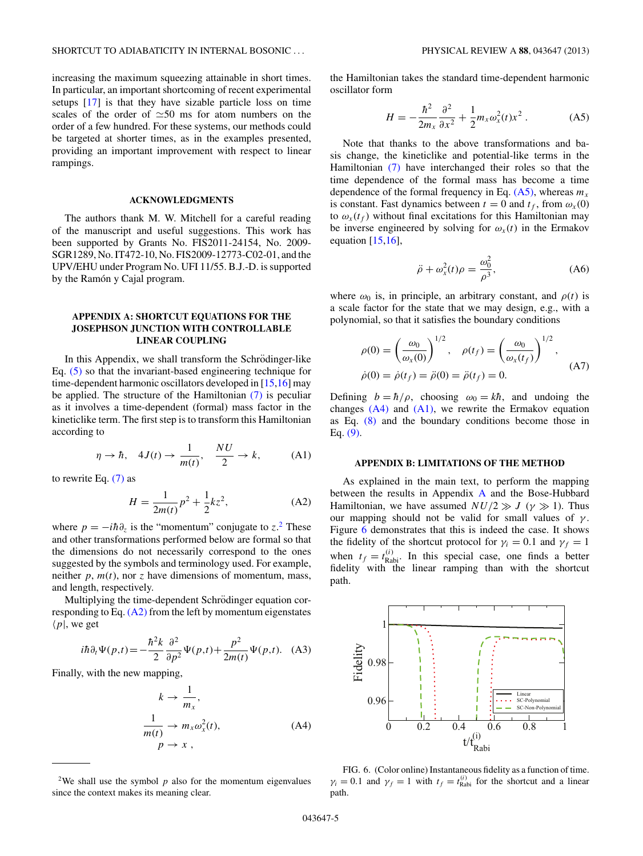<span id="page-4-0"></span>increasing the maximum squeezing attainable in short times. In particular, an important shortcoming of recent experimental setups [\[17\]](#page-5-0) is that they have sizable particle loss on time scales of the order of  $\approx$ 50 ms for atom numbers on the order of a few hundred. For these systems, our methods could be targeted at shorter times, as in the examples presented, providing an important improvement with respect to linear rampings.

### **ACKNOWLEDGMENTS**

The authors thank M. W. Mitchell for a careful reading of the manuscript and useful suggestions. This work has been supported by Grants No. FIS2011-24154, No. 2009- SGR1289, No. IT472-10, No. FIS2009-12773-C02-01, and the UPV/EHU under Program No. UFI 11/55. B.J.-D. is supported by the Ramón y Cajal program.

### **APPENDIX A: SHORTCUT EQUATIONS FOR THE JOSEPHSON JUNCTION WITH CONTROLLABLE LINEAR COUPLING**

In this Appendix, we shall transform the Schrödinger-like Eq. [\(5\)](#page-1-0) so that the invariant-based engineering technique for time-dependent harmonic oscillators developed in [\[15,16\]](#page-5-0) may be applied. The structure of the Hamiltonian [\(7\)](#page-1-0) is peculiar as it involves a time-dependent (formal) mass factor in the kineticlike term. The first step is to transform this Hamiltonian according to

$$
\eta \to \hbar, \quad 4J(t) \to \frac{1}{m(t)}, \quad \frac{NU}{2} \to k,
$$
 (A1)

to rewrite Eq. [\(7\)](#page-1-0) as

$$
H = \frac{1}{2m(t)}p^2 + \frac{1}{2}kz^2,
$$
 (A2)

where  $p = -i\hbar \partial_z$  is the "momentum" conjugate to *z*.<sup>2</sup> These and other transformations performed below are formal so that the dimensions do not necessarily correspond to the ones suggested by the symbols and terminology used. For example, neither  $p$ ,  $m(t)$ , nor  $z$  have dimensions of momentum, mass, and length, respectively.

Multiplying the time-dependent Schrödinger equation corresponding to Eq. (A2) from the left by momentum eigenstates  $\langle p|$ , we get

$$
i\hbar \partial_t \Psi(p,t) = -\frac{\hbar^2 k}{2} \frac{\partial^2}{\partial p^2} \Psi(p,t) + \frac{p^2}{2m(t)} \Psi(p,t). \quad (A3)
$$

Finally, with the new mapping,

$$
k \to \frac{1}{m_x},
$$
  
\n
$$
\frac{1}{m(t)} \to m_x \omega_x^2(t),
$$
  
\n
$$
p \to x,
$$
 (A4)

the Hamiltonian takes the standard time-dependent harmonic oscillator form

$$
H = -\frac{\hbar^2}{2m_x} \frac{\partial^2}{\partial x^2} + \frac{1}{2} m_x \omega_x^2(t) x^2.
$$
 (A5)

Note that thanks to the above transformations and basis change, the kineticlike and potential-like terms in the Hamiltonian [\(7\)](#page-1-0) have interchanged their roles so that the time dependence of the formal mass has become a time dependence of the formal frequency in Eq.  $(A5)$ , whereas  $m<sub>x</sub>$ is constant. Fast dynamics between  $t = 0$  and  $t_f$ , from  $\omega_x(0)$ to  $\omega_x(t_f)$  without final excitations for this Hamiltonian may be inverse engineered by solving for  $\omega_x(t)$  in the Ermakov equation  $[15,16]$ ,

$$
\ddot{\rho} + \omega_x^2(t)\rho = \frac{\omega_0^2}{\rho^3},\tag{A6}
$$

where  $\omega_0$  is, in principle, an arbitrary constant, and  $\rho(t)$  is a scale factor for the state that we may design, e.g., with a polynomial, so that it satisfies the boundary conditions

$$
\rho(0) = \left(\frac{\omega_0}{\omega_x(0)}\right)^{1/2}, \quad \rho(t_f) = \left(\frac{\omega_0}{\omega_x(t_f)}\right)^{1/2},
$$
  

$$
\dot{\rho}(0) = \dot{\rho}(t_f) = \ddot{\rho}(0) = \ddot{\rho}(t_f) = 0.
$$
 (A7)

Defining  $b = \hbar/\rho$ , choosing  $\omega_0 = k\hbar$ , and undoing the changes  $(A4)$  and  $(A1)$ , we rewrite the Ermakov equation as Eq. [\(8\)](#page-1-0) and the boundary conditions become those in Eq. [\(9\).](#page-1-0)

#### **APPENDIX B: LIMITATIONS OF THE METHOD**

As explained in the main text, to perform the mapping between the results in Appendix A and the Bose-Hubbard Hamiltonian, we have assumed  $NU/2 \gg J$  ( $\gamma \gg 1$ ). Thus our mapping should not be valid for small values of  $\gamma$ . Figure 6 demonstrates that this is indeed the case. It shows the fidelity of the shortcut protocol for  $\gamma_i = 0.1$  and  $\gamma_f = 1$ when  $t_f = t_{\text{Rabi}}^{(i)}$ . In this special case, one finds a better fidelity with the linear ramping than with the shortcut path.



FIG. 6. (Color online) Instantaneous fidelity as a function of time.  $\gamma_i = 0.1$  and  $\gamma_f = 1$  with  $t_f = t_{\text{Rabi}}^{(i)}$  for the shortcut and a linear path.

<sup>&</sup>lt;sup>2</sup>We shall use the symbol  $p$  also for the momentum eigenvalues since the context makes its meaning clear.